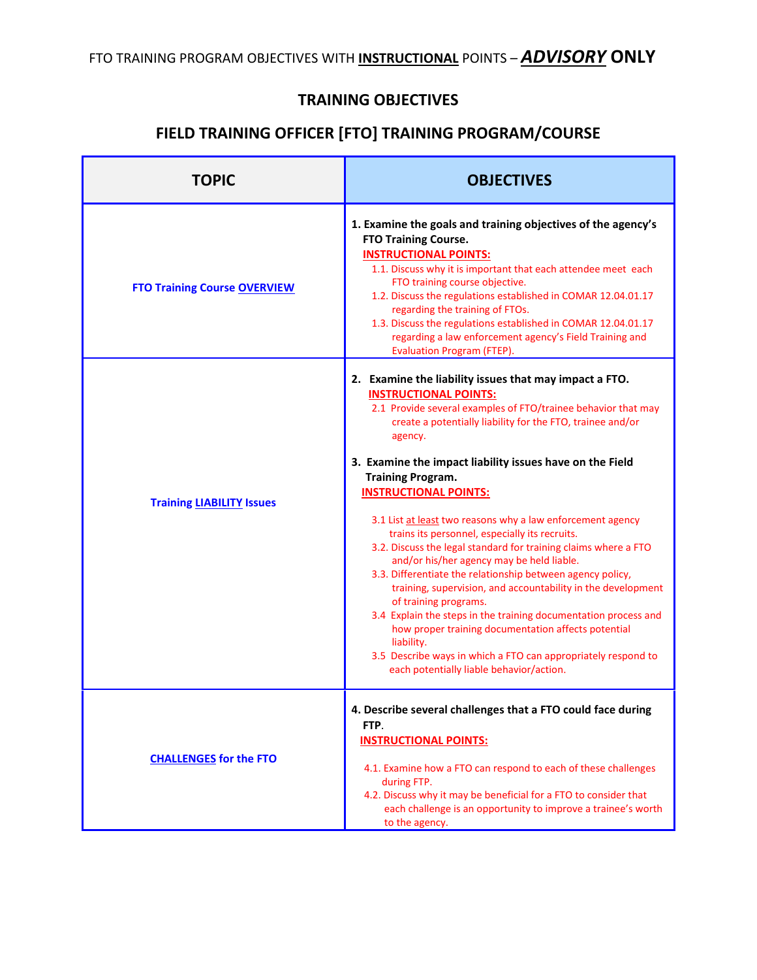## **TRAINING OBJECTIVES**

## **FIELD TRAINING OFFICER [FTO] TRAINING PROGRAM/COURSE**

| TOPIC                               | <b>OBJECTIVES</b>                                                                                                                                                                                                                                                                                                                                                                                                                                                                                                                                                                                                                                                                                                                                                                                                                                                                                                                                                                                    |
|-------------------------------------|------------------------------------------------------------------------------------------------------------------------------------------------------------------------------------------------------------------------------------------------------------------------------------------------------------------------------------------------------------------------------------------------------------------------------------------------------------------------------------------------------------------------------------------------------------------------------------------------------------------------------------------------------------------------------------------------------------------------------------------------------------------------------------------------------------------------------------------------------------------------------------------------------------------------------------------------------------------------------------------------------|
| <b>FTO Training Course OVERVIEW</b> | 1. Examine the goals and training objectives of the agency's<br><b>FTO Training Course.</b><br><b>INSTRUCTIONAL POINTS:</b><br>1.1. Discuss why it is important that each attendee meet each<br>FTO training course objective.<br>1.2. Discuss the regulations established in COMAR 12.04.01.17<br>regarding the training of FTOs.<br>1.3. Discuss the regulations established in COMAR 12.04.01.17<br>regarding a law enforcement agency's Field Training and<br>Evaluation Program (FTEP).                                                                                                                                                                                                                                                                                                                                                                                                                                                                                                         |
| <b>Training LIABILITY Issues</b>    | 2. Examine the liability issues that may impact a FTO.<br><b>INSTRUCTIONAL POINTS:</b><br>2.1 Provide several examples of FTO/trainee behavior that may<br>create a potentially liability for the FTO, trainee and/or<br>agency.<br>3. Examine the impact liability issues have on the Field<br><b>Training Program.</b><br><b>INSTRUCTIONAL POINTS:</b><br>3.1 List at least two reasons why a law enforcement agency<br>trains its personnel, especially its recruits.<br>3.2. Discuss the legal standard for training claims where a FTO<br>and/or his/her agency may be held liable.<br>3.3. Differentiate the relationship between agency policy,<br>training, supervision, and accountability in the development<br>of training programs.<br>3.4 Explain the steps in the training documentation process and<br>how proper training documentation affects potential<br>liability.<br>3.5 Describe ways in which a FTO can appropriately respond to<br>each potentially liable behavior/action. |
| <b>CHALLENGES for the FTO</b>       | 4. Describe several challenges that a FTO could face during<br>FTP.<br><b>INSTRUCTIONAL POINTS:</b><br>4.1. Examine how a FTO can respond to each of these challenges<br>during FTP.<br>4.2. Discuss why it may be beneficial for a FTO to consider that<br>each challenge is an opportunity to improve a trainee's worth<br>to the agency.                                                                                                                                                                                                                                                                                                                                                                                                                                                                                                                                                                                                                                                          |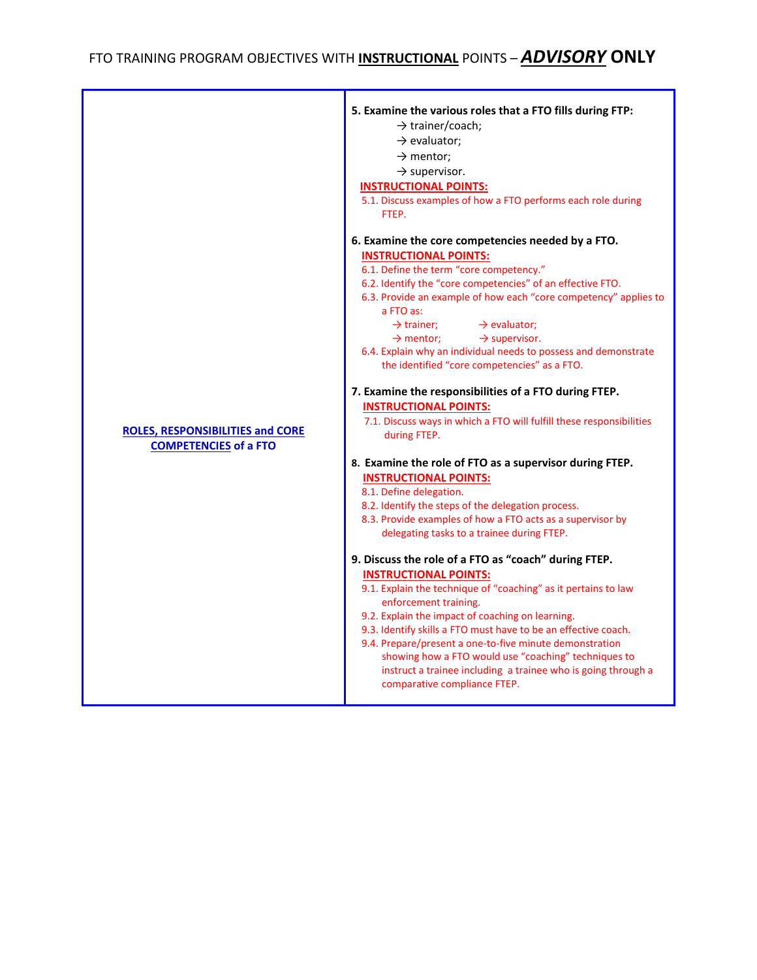|                                                                         | 5. Examine the various roles that a FTO fills during FTP:<br>$\rightarrow$ trainer/coach;<br>$\rightarrow$ evaluator;<br>$\rightarrow$ mentor;<br>$\rightarrow$ supervisor.<br><b>INSTRUCTIONAL POINTS:</b><br>5.1. Discuss examples of how a FTO performs each role during<br>FTEP.                                                                                                                                                                                                                                                                                                                                                                                                                                                                                                                                                                                                                                                                                                                                                                                                                                                                                                                                                                                                                                                                                                                                                                                                                             |
|-------------------------------------------------------------------------|------------------------------------------------------------------------------------------------------------------------------------------------------------------------------------------------------------------------------------------------------------------------------------------------------------------------------------------------------------------------------------------------------------------------------------------------------------------------------------------------------------------------------------------------------------------------------------------------------------------------------------------------------------------------------------------------------------------------------------------------------------------------------------------------------------------------------------------------------------------------------------------------------------------------------------------------------------------------------------------------------------------------------------------------------------------------------------------------------------------------------------------------------------------------------------------------------------------------------------------------------------------------------------------------------------------------------------------------------------------------------------------------------------------------------------------------------------------------------------------------------------------|
| <b>ROLES, RESPONSIBILITIES and CORE</b><br><b>COMPETENCIES of a FTO</b> | 6. Examine the core competencies needed by a FTO.<br><b>INSTRUCTIONAL POINTS:</b><br>6.1. Define the term "core competency."<br>6.2. Identify the "core competencies" of an effective FTO.<br>6.3. Provide an example of how each "core competency" applies to<br>a FTO as:<br>$\rightarrow$ trainer;<br>$\rightarrow$ evaluator;<br>$\rightarrow$ mentor;<br>$\rightarrow$ supervisor.<br>6.4. Explain why an individual needs to possess and demonstrate<br>the identified "core competencies" as a FTO.<br>7. Examine the responsibilities of a FTO during FTEP.<br><b>INSTRUCTIONAL POINTS:</b><br>7.1. Discuss ways in which a FTO will fulfill these responsibilities<br>during FTEP.<br>8. Examine the role of FTO as a supervisor during FTEP.<br><b>INSTRUCTIONAL POINTS:</b><br>8.1. Define delegation.<br>8.2. Identify the steps of the delegation process.<br>8.3. Provide examples of how a FTO acts as a supervisor by<br>delegating tasks to a trainee during FTEP.<br>9. Discuss the role of a FTO as "coach" during FTEP.<br><b>INSTRUCTIONAL POINTS:</b><br>9.1. Explain the technique of "coaching" as it pertains to law<br>enforcement training.<br>9.2. Explain the impact of coaching on learning.<br>9.3. Identify skills a FTO must have to be an effective coach.<br>9.4. Prepare/present a one-to-five minute demonstration<br>showing how a FTO would use "coaching" techniques to<br>instruct a trainee including a trainee who is going through a<br>comparative compliance FTEP. |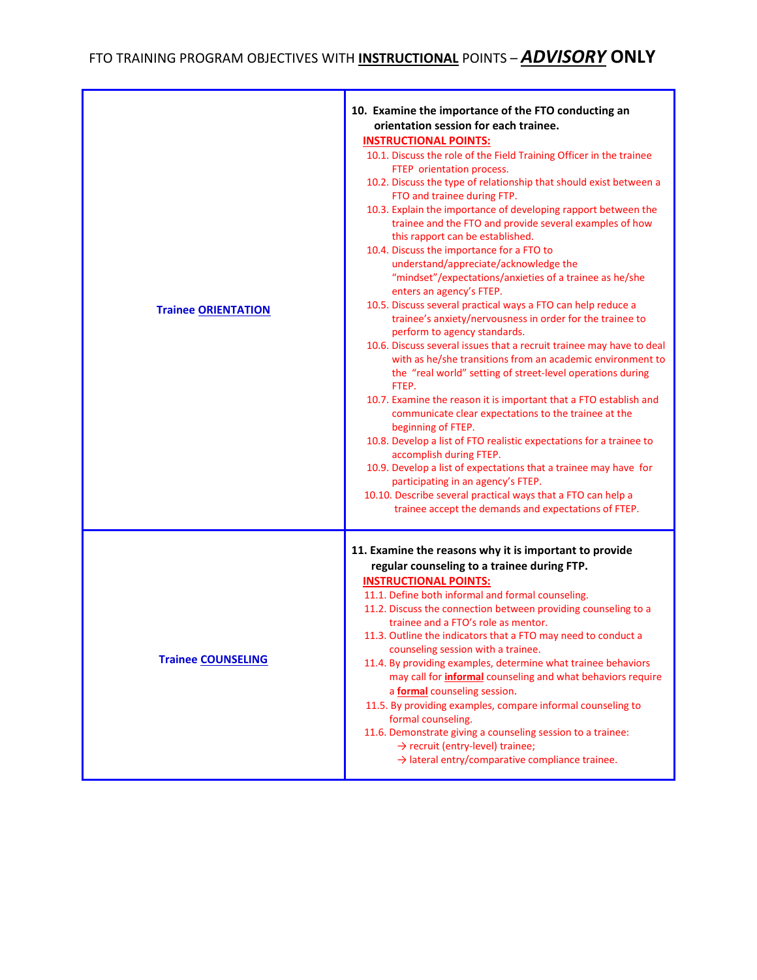## FTO TRAINING PROGRAM OBJECTIVES WITH **INSTRUCTIONAL** POINTS – *ADVISORY* **ONLY**

| <b>Trainee ORIENTATION</b> | 10. Examine the importance of the FTO conducting an<br>orientation session for each trainee.<br><b>INSTRUCTIONAL POINTS:</b><br>10.1. Discuss the role of the Field Training Officer in the trainee<br>FTEP orientation process.<br>10.2. Discuss the type of relationship that should exist between a<br>FTO and trainee during FTP.<br>10.3. Explain the importance of developing rapport between the<br>trainee and the FTO and provide several examples of how<br>this rapport can be established.<br>10.4. Discuss the importance for a FTO to<br>understand/appreciate/acknowledge the<br>"mindset"/expectations/anxieties of a trainee as he/she<br>enters an agency's FTEP.<br>10.5. Discuss several practical ways a FTO can help reduce a<br>trainee's anxiety/nervousness in order for the trainee to<br>perform to agency standards.<br>10.6. Discuss several issues that a recruit trainee may have to deal<br>with as he/she transitions from an academic environment to<br>the "real world" setting of street-level operations during<br>FTEP.<br>10.7. Examine the reason it is important that a FTO establish and<br>communicate clear expectations to the trainee at the<br>beginning of FTEP.<br>10.8. Develop a list of FTO realistic expectations for a trainee to<br>accomplish during FTEP.<br>10.9. Develop a list of expectations that a trainee may have for<br>participating in an agency's FTEP.<br>10.10. Describe several practical ways that a FTO can help a<br>trainee accept the demands and expectations of FTEP. |
|----------------------------|------------------------------------------------------------------------------------------------------------------------------------------------------------------------------------------------------------------------------------------------------------------------------------------------------------------------------------------------------------------------------------------------------------------------------------------------------------------------------------------------------------------------------------------------------------------------------------------------------------------------------------------------------------------------------------------------------------------------------------------------------------------------------------------------------------------------------------------------------------------------------------------------------------------------------------------------------------------------------------------------------------------------------------------------------------------------------------------------------------------------------------------------------------------------------------------------------------------------------------------------------------------------------------------------------------------------------------------------------------------------------------------------------------------------------------------------------------------------------------------------------------------------------------------------------|
| <b>Trainee COUNSELING</b>  | 11. Examine the reasons why it is important to provide<br>regular counseling to a trainee during FTP.<br><b>INSTRUCTIONAL POINTS:</b><br>11.1. Define both informal and formal counseling.<br>11.2. Discuss the connection between providing counseling to a<br>trainee and a FTO's role as mentor.<br>11.3. Outline the indicators that a FTO may need to conduct a<br>counseling session with a trainee.<br>11.4. By providing examples, determine what trainee behaviors<br>may call for <i>informal</i> counseling and what behaviors require<br>a <b>formal</b> counseling session.<br>11.5. By providing examples, compare informal counseling to<br>formal counseling.<br>11.6. Demonstrate giving a counseling session to a trainee:<br>$\rightarrow$ recruit (entry-level) trainee;<br>$\rightarrow$ lateral entry/comparative compliance trainee.                                                                                                                                                                                                                                                                                                                                                                                                                                                                                                                                                                                                                                                                                          |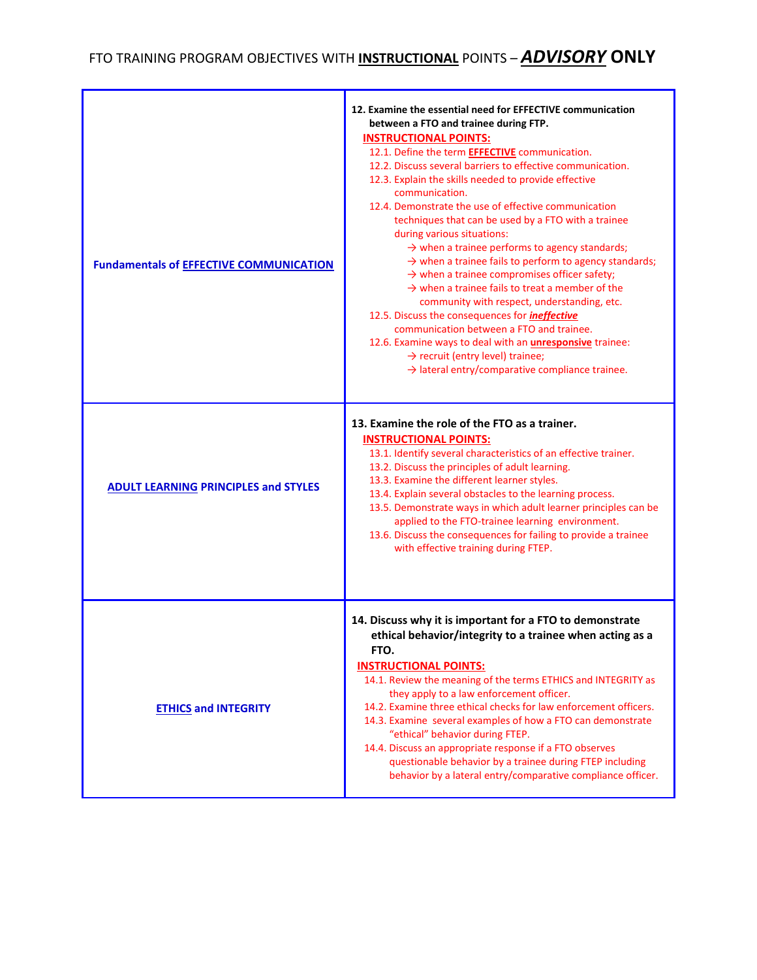## FTO TRAINING PROGRAM OBJECTIVES WITH **INSTRUCTIONAL** POINTS – *ADVISORY* **ONLY**

| <b>Fundamentals of EFFECTIVE COMMUNICATION</b> | 12. Examine the essential need for EFFECTIVE communication<br>between a FTO and trainee during FTP.<br><b>INSTRUCTIONAL POINTS:</b><br>12.1. Define the term <b>EFFECTIVE</b> communication.<br>12.2. Discuss several barriers to effective communication.<br>12.3. Explain the skills needed to provide effective<br>communication.<br>12.4. Demonstrate the use of effective communication<br>techniques that can be used by a FTO with a trainee<br>during various situations:<br>$\rightarrow$ when a trainee performs to agency standards;<br>$\rightarrow$ when a trainee fails to perform to agency standards;<br>$\rightarrow$ when a trainee compromises officer safety;<br>$\rightarrow$ when a trainee fails to treat a member of the<br>community with respect, understanding, etc.<br>12.5. Discuss the consequences for <i>ineffective</i><br>communication between a FTO and trainee.<br>12.6. Examine ways to deal with an <i>unresponsive</i> trainee:<br>$\rightarrow$ recruit (entry level) trainee;<br>$\rightarrow$ lateral entry/comparative compliance trainee. |
|------------------------------------------------|----------------------------------------------------------------------------------------------------------------------------------------------------------------------------------------------------------------------------------------------------------------------------------------------------------------------------------------------------------------------------------------------------------------------------------------------------------------------------------------------------------------------------------------------------------------------------------------------------------------------------------------------------------------------------------------------------------------------------------------------------------------------------------------------------------------------------------------------------------------------------------------------------------------------------------------------------------------------------------------------------------------------------------------------------------------------------------------|
| <b>ADULT LEARNING PRINCIPLES and STYLES</b>    | 13. Examine the role of the FTO as a trainer.<br><b>INSTRUCTIONAL POINTS:</b><br>13.1. Identify several characteristics of an effective trainer.<br>13.2. Discuss the principles of adult learning.<br>13.3. Examine the different learner styles.<br>13.4. Explain several obstacles to the learning process.<br>13.5. Demonstrate ways in which adult learner principles can be<br>applied to the FTO-trainee learning environment.<br>13.6. Discuss the consequences for failing to provide a trainee<br>with effective training during FTEP.                                                                                                                                                                                                                                                                                                                                                                                                                                                                                                                                       |
| <b>ETHICS and INTEGRITY</b>                    | 14. Discuss why it is important for a FTO to demonstrate<br>ethical behavior/integrity to a trainee when acting as a<br>FTO.<br><b>INSTRUCTIONAL POINTS:</b><br>14.1. Review the meaning of the terms ETHICS and INTEGRITY as<br>they apply to a law enforcement officer.<br>14.2. Examine three ethical checks for law enforcement officers.<br>14.3. Examine several examples of how a FTO can demonstrate<br>"ethical" behavior during FTEP.<br>14.4. Discuss an appropriate response if a FTO observes<br>questionable behavior by a trainee during FTEP including<br>behavior by a lateral entry/comparative compliance officer.                                                                                                                                                                                                                                                                                                                                                                                                                                                  |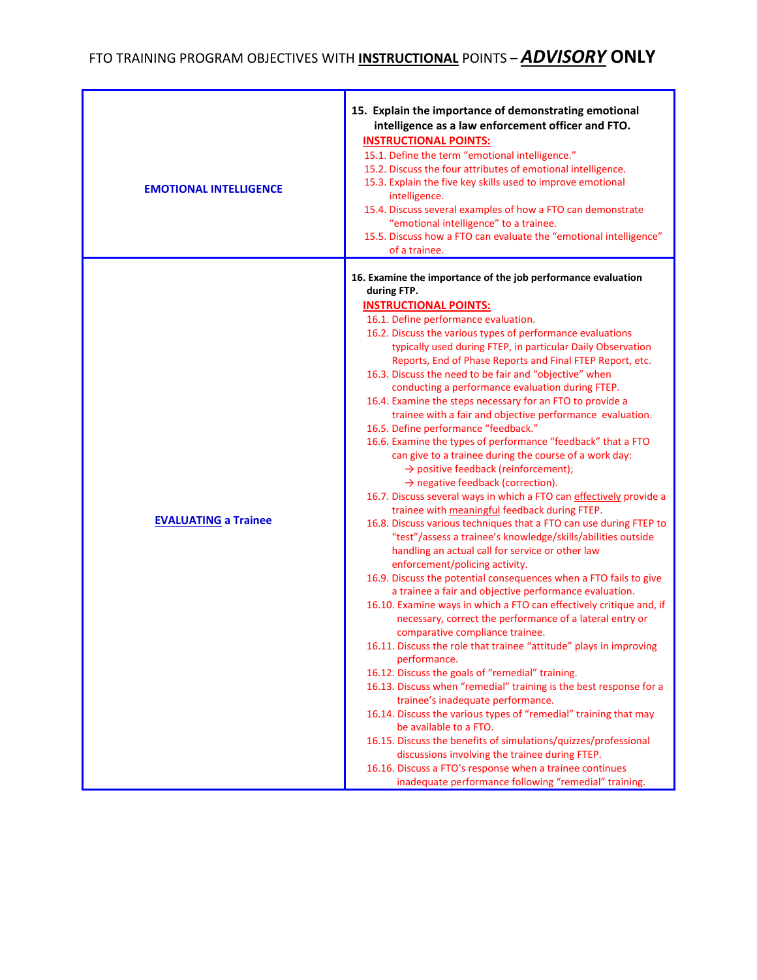| <b>EMOTIONAL INTELLIGENCE</b> | 15. Explain the importance of demonstrating emotional<br>intelligence as a law enforcement officer and FTO.<br><b>INSTRUCTIONAL POINTS:</b><br>15.1. Define the term "emotional intelligence."<br>15.2. Discuss the four attributes of emotional intelligence.<br>15.3. Explain the five key skills used to improve emotional<br>intelligence.<br>15.4. Discuss several examples of how a FTO can demonstrate<br>"emotional intelligence" to a trainee.<br>15.5. Discuss how a FTO can evaluate the "emotional intelligence"<br>of a trainee.                                                                                                                                                                                                                                                                                                                                                                                                                                                                                                                                                                                                                                                                                                                                                                                                                                                                                                                                                                                                                                                                                                                                                                                                                                                                                                                                                                                                                                                                                                                                                                      |
|-------------------------------|--------------------------------------------------------------------------------------------------------------------------------------------------------------------------------------------------------------------------------------------------------------------------------------------------------------------------------------------------------------------------------------------------------------------------------------------------------------------------------------------------------------------------------------------------------------------------------------------------------------------------------------------------------------------------------------------------------------------------------------------------------------------------------------------------------------------------------------------------------------------------------------------------------------------------------------------------------------------------------------------------------------------------------------------------------------------------------------------------------------------------------------------------------------------------------------------------------------------------------------------------------------------------------------------------------------------------------------------------------------------------------------------------------------------------------------------------------------------------------------------------------------------------------------------------------------------------------------------------------------------------------------------------------------------------------------------------------------------------------------------------------------------------------------------------------------------------------------------------------------------------------------------------------------------------------------------------------------------------------------------------------------------------------------------------------------------------------------------------------------------|
| <b>EVALUATING a Trainee</b>   | 16. Examine the importance of the job performance evaluation<br>during FTP.<br><b>INSTRUCTIONAL POINTS:</b><br>16.1. Define performance evaluation.<br>16.2. Discuss the various types of performance evaluations<br>typically used during FTEP, in particular Daily Observation<br>Reports, End of Phase Reports and Final FTEP Report, etc.<br>16.3. Discuss the need to be fair and "objective" when<br>conducting a performance evaluation during FTEP.<br>16.4. Examine the steps necessary for an FTO to provide a<br>trainee with a fair and objective performance evaluation.<br>16.5. Define performance "feedback."<br>16.6. Examine the types of performance "feedback" that a FTO<br>can give to a trainee during the course of a work day:<br>$\rightarrow$ positive feedback (reinforcement);<br>$\rightarrow$ negative feedback (correction).<br>16.7. Discuss several ways in which a FTO can effectively provide a<br>trainee with meaningful feedback during FTEP.<br>16.8. Discuss various techniques that a FTO can use during FTEP to<br>"test"/assess a trainee's knowledge/skills/abilities outside<br>handling an actual call for service or other law<br>enforcement/policing activity.<br>16.9. Discuss the potential consequences when a FTO fails to give<br>a trainee a fair and objective performance evaluation.<br>16.10. Examine ways in which a FTO can effectively critique and, if<br>necessary, correct the performance of a lateral entry or<br>comparative compliance trainee.<br>16.11. Discuss the role that trainee "attitude" plays in improving<br>performance.<br>16.12. Discuss the goals of "remedial" training.<br>16.13. Discuss when "remedial" training is the best response for a<br>trainee's inadequate performance.<br>16.14. Discuss the various types of "remedial" training that may<br>be available to a FTO.<br>16.15. Discuss the benefits of simulations/quizzes/professional<br>discussions involving the trainee during FTEP.<br>16.16. Discuss a FTO's response when a trainee continues<br>inadequate performance following "remedial" training. |